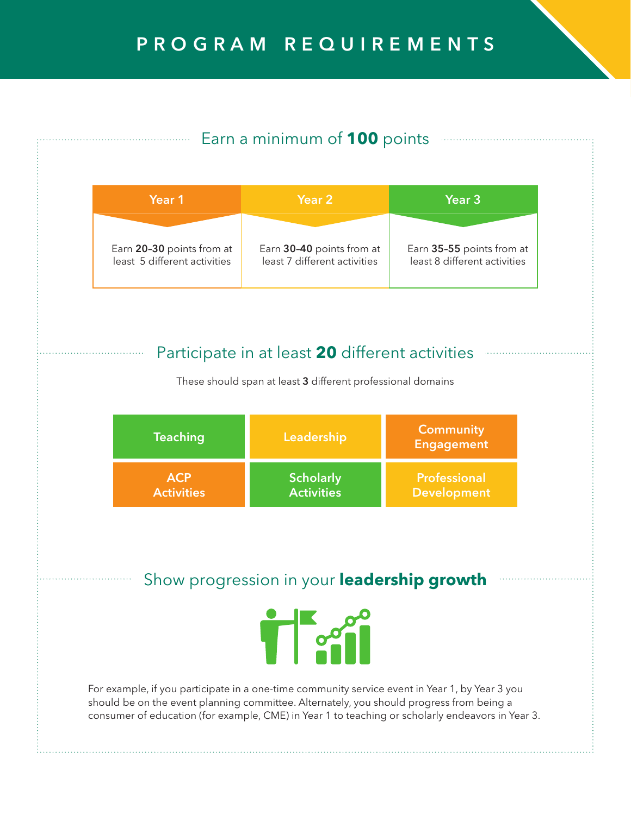# PROGRAM REQUIREMENTS

## Earn a minimum of **100** points

| Year 1                       | Year 2                       | <b>Year 3</b>                |  |
|------------------------------|------------------------------|------------------------------|--|
| Earn 20-30 points from at    | Earn 30-40 points from at    | Earn 35-55 points from at    |  |
| least 5 different activities | least 7 different activities | least 8 different activities |  |

### Participate in at least **20** different activities

These should span at least 3 different professional domains

| <b>Teaching</b>   | Leadership        | <b>Community</b><br><b>Engagement</b> |
|-------------------|-------------------|---------------------------------------|
| <b>ACP</b>        | <b>Scholarly</b>  | Professional                          |
| <b>Activities</b> | <b>Activities</b> | <b>Development</b>                    |

## Show progression in your **leadership growth**



For example, if you participate in a one-time community service event in Year 1, by Year 3 you should be on the event planning committee. Alternately, you should progress from being a consumer of education (for example, CME) in Year 1 to teaching or scholarly endeavors in Year 3.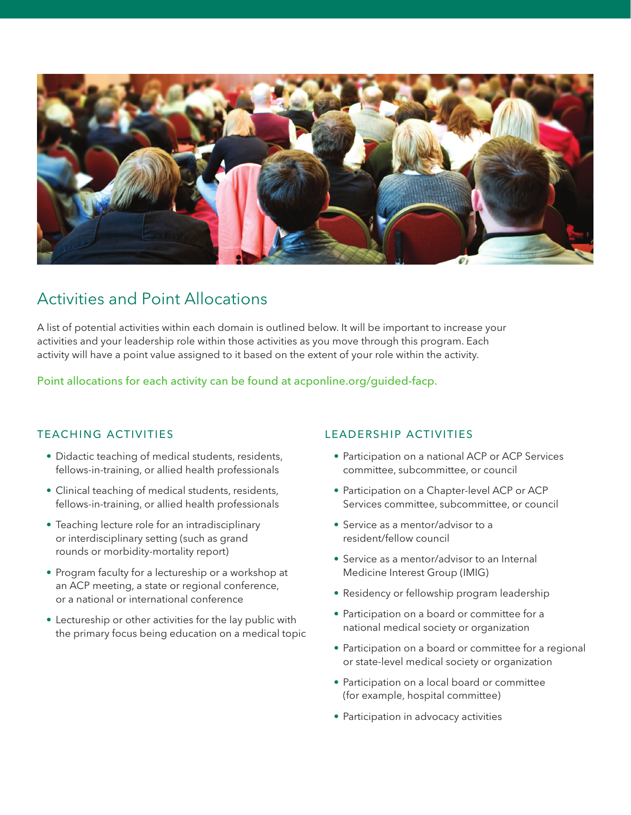

## Activities and Point Allocations

A list of potential activities within each domain is outlined below. It will be important to increase your activities and your leadership role within those activities as you move through this program. Each activity will have a point value assigned to it based on the extent of your role within the activity.

Point allocations for each activity can be found at acponline.org/guided-facp.

#### Teaching Activities

- Didactic teaching of medical students, residents, fellows-in-training, or allied health professionals
- Clinical teaching of medical students, residents, fellows-in-training, or allied health professionals
- Teaching lecture role for an intradisciplinary or interdisciplinary setting (such as grand rounds or morbidity-mortality report)
- Program faculty for a lectureship or a workshop at an ACP meeting, a state or regional conference, or a national or international conference
- Lectureship or other activities for the lay public with the primary focus being education on a medical topic

#### Leadership Activities

- Participation on a national ACP or ACP Services committee, subcommittee, or council
- Participation on a Chapter-level ACP or ACP Services committee, subcommittee, or council
- Service as a mentor/advisor to a resident/fellow council
- Service as a mentor/advisor to an Internal Medicine Interest Group (IMIG)
- Residency or fellowship program leadership
- Participation on a board or committee for a national medical society or organization
- Participation on a board or committee for a regional or state-level medical society or organization
- Participation on a local board or committee (for example, hospital committee)
- Participation in advocacy activities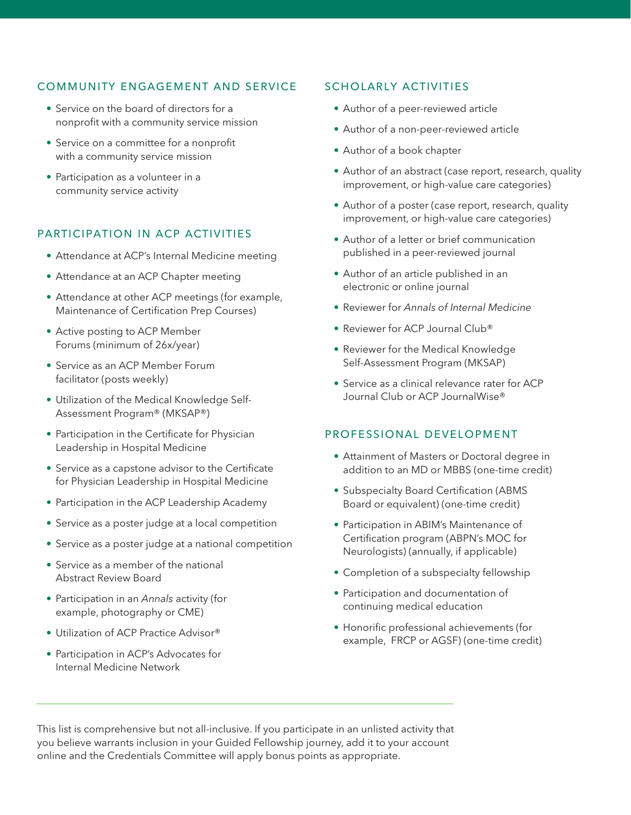#### Community Engagement and Service

- Service on the board of directors for a nonprofit with a community service mission
- Service on a committee for a nonprofit with a community service mission
- Participation as a volunteer in a community service activity

#### Participation in ACP Activities

- Attendance at ACP's Internal Medicine meeting
- Attendance at an ACP Chapter meeting
- Attendance at other ACP meetings (for example, Maintenance of Certification Prep Courses)
- Active posting to ACP Member Forums (minimum of 26x/year)
- Service as an ACP Member Forum facilitator (posts weekly)
- Utilization of the Medical Knowledge Self-Assessment Program® (MKSAP®)
- Participation in the Certificate for Physician Leadership in Hospital Medicine
- Service as a capstone advisor to the Certificate for Physician Leadership in Hospital Medicine
- Participation in the ACP Leadership Academy
- Service as a poster judge at a local competition
- Service as a poster judge at a national competition
- Service as a member of the national Abstract Review Board
- Participation in an *Annals* activity (for example, photography or CME)
- Utilization of ACP Practice Advisor®
- Participation in ACP's Advocates for Internal Medicine Network

#### Scholarly Activities

- Author of a peer-reviewed article
- Author of a non-peer-reviewed article
- Author of a book chapter
- Author of an abstract (case report, research, quality improvement, or high-value care categories)
- Author of a poster (case report, research, quality improvement, or high-value care categories)
- Author of a letter or brief communication published in a peer-reviewed journal
- Author of an article published in an electronic or online journal
- Reviewer for *Annals of Internal Medicine*
- Reviewer for ACP Journal Club®
- Reviewer for the Medical Knowledge Self-Assessment Program (MKSAP)
- Service as a clinical relevance rater for ACP Journal Club or ACP JournalWise®

#### Professional Development

- Attainment of Masters or Doctoral degree in addition to an MD or MBBS (one-time credit)
- Subspecialty Board Certification (ABMS Board or equivalent) (one-time credit)
- Participation in ABIM's Maintenance of Certification program (ABPN's MOC for Neurologists) (annually, if applicable)
- Completion of a subspecialty fellowship
- Participation and documentation of continuing medical education
- Honorific professional achievements (for example, FRCP or AGSF) (one-time credit)

This list is comprehensive but not all-inclusive. If you participate in an unlisted activity that you believe warrants inclusion in your Guided Fellowship journey, add it to your account online and the Credentials Committee will apply bonus points as appropriate.